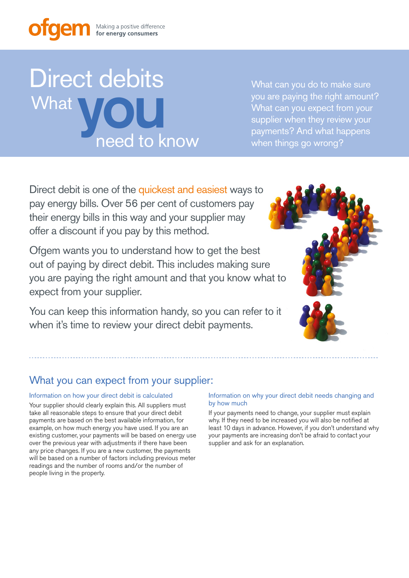# Direct debits need to know What<br>What<br>pood to k

What can you do to make sure you are paying the right amount? What can you expect from your supplier when they review your payments? And what happens when things go wrong?

Direct debit is one of the quickest and easiest ways to pay energy bills. Over 56 per cent of customers pay their energy bills in this way and your supplier may offer a discount if you pay by this method.

Ofgem wants you to understand how to get the best out of paying by direct debit. This includes making sure you are paying the right amount and that you know what to expect from your supplier.

You can keep this information handy, so you can refer to it when it's time to review your direct debit payments.



## What you can expect from your supplier:

### Information on how your direct debit is calculated

Your supplier should clearly explain this. All suppliers must take all reasonable steps to ensure that your direct debit payments are based on the best available information, for example, on how much energy you have used. If you are an existing customer, your payments will be based on energy use over the previous year with adjustments if there have been any price changes. If you are a new customer, the payments will be based on a number of factors including previous meter readings and the number of rooms and/or the number of people living in the property.

### Information on why your direct debit needs changing and by how much

If your payments need to change, your supplier must explain why. If they need to be increased you will also be notified at least 10 days in advance. However, if you don't understand why your payments are increasing don't be afraid to contact your supplier and ask for an explanation.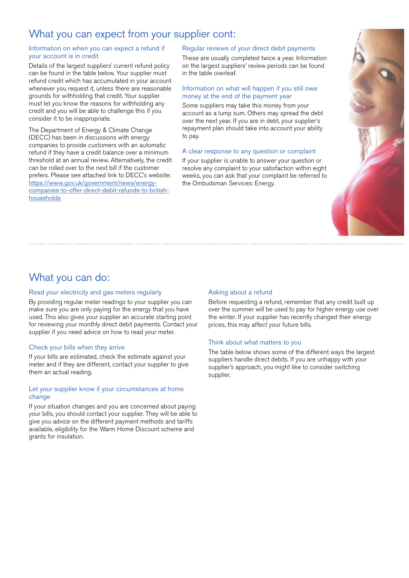### What you can expect from your supplier cont:

### Information on when you can expect a refund if your account is in credit

Details of the largest suppliers' current refund policy can be found in the table below. Your supplier must refund credit which has accumulated in your account whenever you request it, unless there are reasonable grounds for withholding that credit. Your supplier must let you know the reasons for withholding any credit and you will be able to challenge this if you consider it to be inappropriate.

The Department of Energy & Climate Change (DECC) has been in discussions with energy companies to provide customers with an automatic refund if they have a credit balance over a minimum threshold at an annual review. Alternatively, the credit can be rolled over to the next bill if the customer prefers. Please see attached link to DECC's website: https://www.gov.uk/government/news/energycompanies-to-offer-direct-debit-refunds-to-britishhouseholds

### Regular reviews of your direct debit payments

These are usually completed twice a year. Information on the largest suppliers' review periods can be found in the table overleaf.

### Information on what will happen if you still owe money at the end of the payment year

Some suppliers may take this money from your account as a lump sum. Others may spread the debt over the next year. If you are in debt, your supplier's repayment plan should take into account your ability to pay.

### A clear response to any question or complaint

If your supplier is unable to answer your question or resolve any complaint to your satisfaction within eight weeks, you can ask that your complaint be referred to the Ombudsman Services: Energy.



### What you can do:

### Read your electricity and gas meters regularly

By providing regular meter readings to your supplier you can make sure you are only paying for the energy that you have used. This also gives your supplier an accurate starting point for reviewing your monthly direct debit payments. Contact your supplier if you need advice on how to read your meter.

### Check your bills when they arrive

If your bills are estimated, check the estimate against your meter and if they are different, contact your supplier to give them an actual reading.

### Let your supplier know if your circumstances at home change

If your situation changes and you are concerned about paying your bills, you should contact your supplier. They will be able to give you advice on the different payment methods and tariffs available, eligibility for the Warm Home Discount scheme and grants for insulation.

### Asking about a refund

Before requesting a refund, remember that any credit built up over the summer will be used to pay for higher energy use over the winter. If your supplier has recently changed their energy prices, this may affect your future bills.

### Think about what matters to you

The table below shows some of the different ways the largest suppliers handle direct debits. If you are unhappy with your supplier's approach, you might like to consider switching supplier.